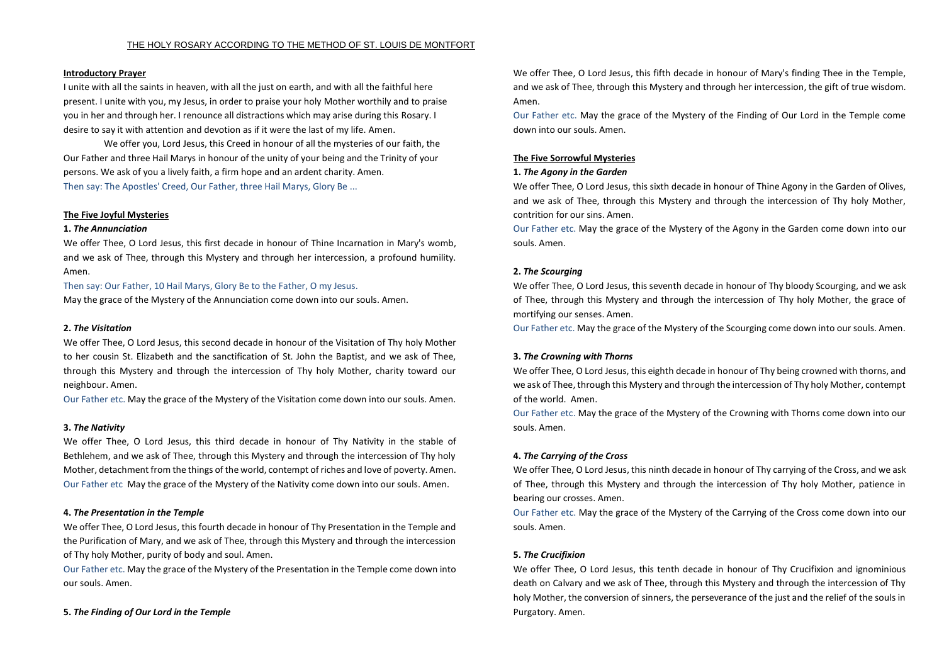### **Introductory Prayer**

I unite with all the saints in heaven, with all the just on earth, and with all the faithful here present. I unite with you, my Jesus, in order to praise your holy Mother worthily and to praise you in her and through her. I renounce all distractions which may arise during this [Rosary.](http://www.philomena.com/rosary.asp) I desire to say it with attention and devotion as if it were the last of my life. Amen.

We offer you, Lord Jesus, this Creed in honour of all the mysteries of our faith, the Our Father and three Hail Marys in honour of the unity of your being and the Trinity of your persons. We ask of you a lively faith, a firm hope and an ardent charity. Amen. Then say: The Apostles' Creed, Our Father, three Hail Marys, Glory Be ...

## **The Five Joyful Mysteries**

### **1.** *The Annunciation*

We offer Thee, O Lord Jesus, this first decade in honour of Thine Incarnation in Mary's womb, and we ask of Thee, through this Mystery and through her intercession, a profound humility. Amen.

Then say: Our Father, 10 Hail Marys, Glory Be to the Father, O my Jesus.

May the grace of the Mystery of the Annunciation come down into our souls. Amen.

## **2.** *The Visitation*

We offer Thee, O Lord Jesus, this second decade in honour of the Visitation of Thy holy Mother to her cousin St. Elizabeth and the sanctification of St. John the Baptist, and we ask of Thee, through this Mystery and through the intercession of Thy holy Mother, charity toward our neighbour. Amen.

Our Father etc. May the grace of the Mystery of the Visitation come down into our souls. Amen.

## **3.** *The Nativity*

We offer Thee, O Lord Jesus, this third decade in honour of Thy Nativity in the stable of Bethlehem, and we ask of Thee, through this Mystery and through the intercession of Thy holy Mother, detachment from the things of the world, contempt of riches and love of poverty. Amen. Our Father etc May the grace of the Mystery of the Nativity come down into our souls. Amen.

## **4.** *The Presentation in the Temple*

We offer Thee, O Lord Jesus, this fourth decade in honour of Thy Presentation in the Temple and the Purification of Mary, and we ask of Thee, through this Mystery and through the intercession of Thy holy Mother, purity of body and soul. Amen.

Our Father etc. May the grace of the Mystery of the Presentation in the Temple come down into our souls. Amen.

**5.** *The Finding of Our Lord in the Temple*

We offer Thee, O Lord Jesus, this fifth decade in honour of Mary's finding Thee in the Temple, and we ask of Thee, through this Mystery and through her intercession, the gift of true wisdom. Amen.

Our Father etc. May the grace of the Mystery of the Finding of Our Lord in the Temple come down into our souls. Amen.

# **The Five Sorrowful Mysteries**

## **1.** *The Agony in the Garden*

We offer Thee, O Lord Jesus, this sixth decade in honour of Thine Agony in the Garden of Olives, and we ask of Thee, through this Mystery and through the intercession of Thy holy Mother, contrition for our sins. Amen.

Our Father etc. May the grace of the Mystery of the Agony in the Garden come down into our souls. Amen.

## **2.** *The Scourging*

We offer Thee, O Lord Jesus, this seventh decade in honour of Thy bloody Scourging, and we ask of Thee, through this Mystery and through the intercession of Thy holy Mother, the grace of mortifying our senses. Amen.

Our Father etc. May the grace of the Mystery of the Scourging come down into our souls. Amen.

# **3.** *The Crowning with Thorns*

We offer Thee, O Lord Jesus, this eighth decade in honour of Thy being crowned with thorns, and we ask of Thee, through this Mystery and through the intercession of Thy holy Mother, contempt of the world. Amen.

Our Father etc. May the grace of the Mystery of the Crowning with Thorns come down into our souls. Amen.

## **4.** *The Carrying of the Cross*

We offer Thee, O Lord Jesus, this ninth decade in honour of Thy carrying of the Cross, and we ask of Thee, through this Mystery and through the intercession of Thy holy Mother, patience in bearing our crosses. Amen.

Our Father etc. May the grace of the Mystery of the Carrying of the Cross come down into our souls. Amen.

# **5.** *The Crucifixion*

We offer Thee, O Lord Jesus, this tenth decade in honour of Thy Crucifixion and ignominious death on Calvary and we ask of Thee, through this Mystery and through the intercession of Thy holy Mother, the conversion of sinners, the perseverance of the just and the relief of the souls in Purgatory. Amen.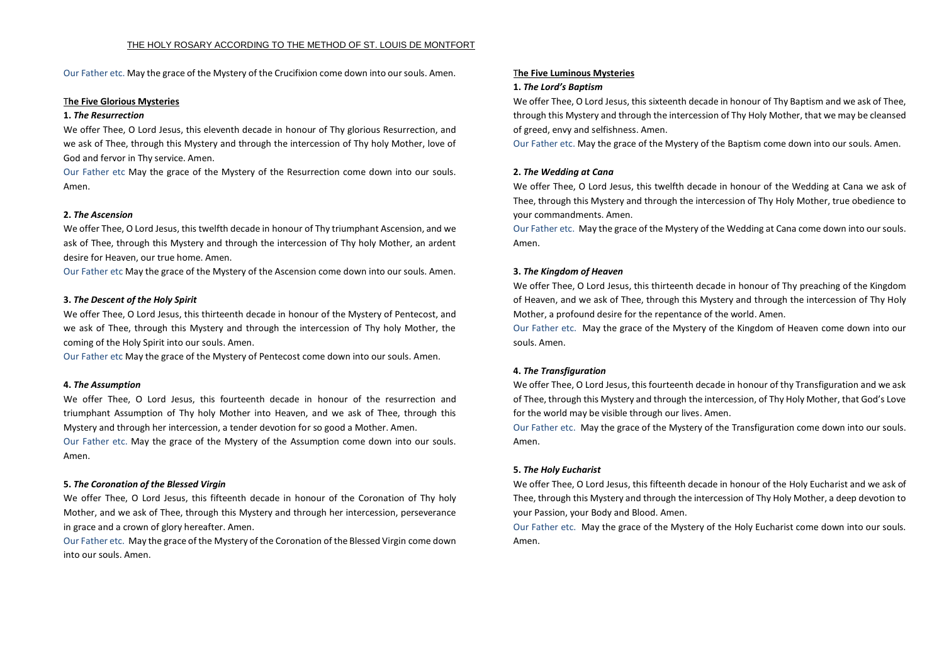Our Father etc. May the grace of the Mystery of the Crucifixion come down into our souls. Amen.

### T**he Five Glorious Mysteries**

#### **1.** *The Resurrection*

We offer Thee, O Lord Jesus, this eleventh decade in honour of Thy glorious Resurrection, and we ask of Thee, through this Mystery and through the intercession of Thy holy Mother, love of God and fervor in Thy service. Amen.

Our Father etc May the grace of the Mystery of the Resurrection come down into our souls. Amen.

#### **2.** *The Ascension*

We offer Thee, O Lord Jesus, this twelfth decade in honour of Thy triumphant Ascension, and we ask of Thee, through this Mystery and through the intercession of Thy holy Mother, an ardent desire for Heaven, our true home. Amen.

Our Father etc May the grace of the Mystery of the Ascension come down into our souls. Amen.

#### **3.** *The Descent of the Holy Spirit*

We offer Thee, O Lord Jesus, this thirteenth decade in honour of the Mystery of Pentecost, and we ask of Thee, through this Mystery and through the intercession of Thy holy Mother, the coming of the Holy Spirit into our souls. Amen.

Our Father etc May the grace of the Mystery of Pentecost come down into our souls. Amen.

#### **4.** *The Assumption*

We offer Thee, O Lord Jesus, this fourteenth decade in honour of the resurrection and triumphant Assumption of Thy holy Mother into Heaven, and we ask of Thee, through this Mystery and through her intercession, a tender devotion for so good a Mother. Amen.

Our Father etc. May the grace of the Mystery of the Assumption come down into our souls. Amen.

#### **5.** *The Coronation of the Blessed Virgin*

We offer Thee, O Lord Jesus, this fifteenth decade in honour of the Coronation of Thy holy Mother, and we ask of Thee, through this Mystery and through her intercession, perseverance in grace and a crown of glory hereafter. Amen.

Our Father etc. May the grace of the Mystery of the Coronation of the Blessed Virgin come down into our souls. Amen.

#### T**he Five Luminous Mysteries**

#### **1.** *The Lord's Baptism*

We offer Thee, O Lord Jesus, this sixteenth decade in honour of Thy Baptism and we ask of Thee, through this Mystery and through the intercession of Thy Holy Mother, that we may be cleansed of greed, envy and selfishness. Amen.

Our Father etc. May the grace of the Mystery of the Baptism come down into our souls. Amen.

#### **2.** *The Wedding at Cana*

We offer Thee, O Lord Jesus, this twelfth decade in honour of the Wedding at Cana we ask of Thee, through this Mystery and through the intercession of Thy Holy Mother, true obedience to your commandments. Amen.

Our Father etc. May the grace of the Mystery of the Wedding at Cana come down into our souls. Amen.

#### **3.** *The Kingdom of Heaven*

We offer Thee, O Lord Jesus, this thirteenth decade in honour of Thy preaching of the Kingdom of Heaven, and we ask of Thee, through this Mystery and through the intercession of Thy Holy Mother, a profound desire for the repentance of the world. Amen.

Our Father etc. May the grace of the Mystery of the Kingdom of Heaven come down into our souls. Amen.

#### **4.** *The Transfiguration*

We offer Thee, O Lord Jesus, this fourteenth decade in honour of thy Transfiguration and we ask of Thee, through this Mystery and through the intercession, of Thy Holy Mother, that God's Love for the world may be visible through our lives. Amen.

Our Father etc. May the grace of the Mystery of the Transfiguration come down into our souls. Amen.

#### **5.** *The Holy Eucharist*

We offer Thee, O Lord Jesus, this fifteenth decade in honour of the Holy Eucharist and we ask of Thee, through this Mystery and through the intercession of Thy Holy Mother, a deep devotion to your Passion, your Body and Blood. Amen.

Our Father etc. May the grace of the Mystery of the Holy Eucharist come down into our souls. Amen.